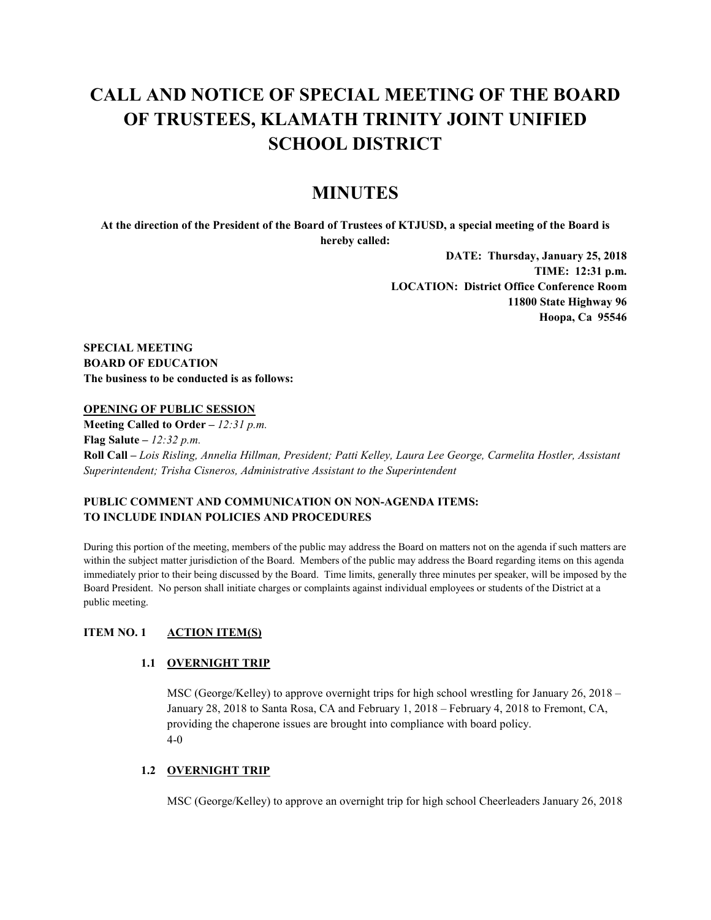# **CALL AND NOTICE OF SPECIAL MEETING OF THE BOARD OF TRUSTEES, KLAMATH TRINITY JOINT UNIFIED SCHOOL DISTRICT**

# **MINUTES**

**At the direction of the President of the Board of Trustees of KTJUSD, a special meeting of the Board is hereby called:**

> **DATE: Thursday, January 25, 2018 TIME: 12:31 p.m. LOCATION: District Office Conference Room 11800 State Highway 96 Hoopa, Ca 95546**

**SPECIAL MEETING BOARD OF EDUCATION The business to be conducted is as follows:**

### **OPENING OF PUBLIC SESSION**

**Meeting Called to Order –** *12:31 p.m.* **Flag Salute –** *12:32 p.m.* **Roll Call –** *Lois Risling, Annelia Hillman, President; Patti Kelley, Laura Lee George, Carmelita Hostler, Assistant Superintendent; Trisha Cisneros, Administrative Assistant to the Superintendent*

# **PUBLIC COMMENT AND COMMUNICATION ON NON-AGENDA ITEMS: TO INCLUDE INDIAN POLICIES AND PROCEDURES**

During this portion of the meeting, members of the public may address the Board on matters not on the agenda if such matters are within the subject matter jurisdiction of the Board. Members of the public may address the Board regarding items on this agenda immediately prior to their being discussed by the Board. Time limits, generally three minutes per speaker, will be imposed by the Board President. No person shall initiate charges or complaints against individual employees or students of the District at a public meeting.

# **ITEM NO. 1 ACTION ITEM(S)**

### **1.1 OVERNIGHT TRIP**

MSC (George/Kelley) to approve overnight trips for high school wrestling for January 26, 2018 – January 28, 2018 to Santa Rosa, CA and February 1, 2018 – February 4, 2018 to Fremont, CA, providing the chaperone issues are brought into compliance with board policy. 4-0

### **1.2 OVERNIGHT TRIP**

MSC (George/Kelley) to approve an overnight trip for high school Cheerleaders January 26, 2018